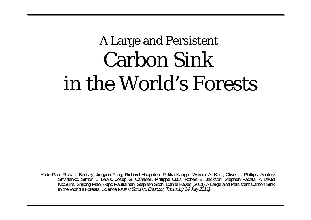# A Large and Persistent Carbon Sink in the World's Forests

Yude Pan, Richard Birdsey, Jingyun Fang, Richard Houghton, Pekka Kauppi, Werner A. Kurz, Oliver L. Phillips, Anatoly Shvidenko, Simon L. Lewis, Josep G. Canadell, Philippe Ciais, Robert B. Jackson, Stephen Pacala, A David McGuire, Shilong Piao, Aapo Rautiainen, Stephen Sitch, Daniel Hayes (2011) A Large and Persistent Carbon Sink in the World's Forests. Science (*online Science Express, Thursday 14 July 2011)*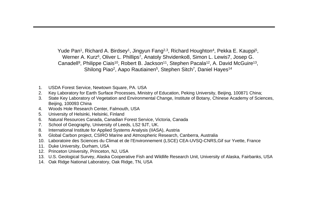Yude Pan<sup>1</sup>, Richard A. Birdsey<sup>1</sup>, Jingyun Fang<sup>2,3</sup>, Richard Houghton<sup>4</sup>, Pekka E. Kauppi<sup>5</sup>, Werner A. Kurz<sup>6</sup>, Oliver L. Phillips<sup>7</sup>, Anatoly Shvidenko8, Simon L. Lewis7, Josep G. Canadell<sup>9</sup>, Philippe Ciais<sup>10</sup>, Robert B. Jackson<sup>11</sup>, Stephen Pacala<sup>12</sup>, A. David McGuire<sup>13</sup>, Shilong Piao<sup>2</sup>, Aapo Rautiainen<sup>5</sup>, Stephen Sitch<sup>7</sup>, Daniel Hayes<sup>14</sup>

- 1. USDA Forest Service, Newtown Square, PA. USA
- 2. Key Laboratory for Earth Surface Processes, Ministry of Education, Peking University, Beijing, 100871 China;
- 3. State Key Laboratory of Vegetation and Environmental Change, Institute of Botany, Chinese Academy of Sciences, Beijing, 100093 China
- 4. Woods Hole Research Center, Falmouth, USA
- 5. University of Helsinki, Helsinki, Finland
- 6. Natural Resources Canada, Canadian Forest Service, Victoria, Canada
- 7. School of Geography, University of Leeds, LS2 9JT, UK.
- 8. International Institute for Applied Systems Analysis (IIASA), Austria
- 9. Global Carbon project, CSIRO Marine and Atmospheric Research, Canberra, Australia
- 10. Laboratoire des Sciences du Climat et de l'Environnement (LSCE) CEA-UVSQ-CNRS,Gif sur Yvette, France
- 11. Duke University, Durham, USA
- 12. Princeton University, Princeton, NJ, USA
- 13. U.S. Geological Survey, Alaska Cooperative Fish and Wildlife Research Unit, University of Alaska, Fairbanks, USA
- 14. Oak Ridge National Laboratory, Oak Ridge, TN, USA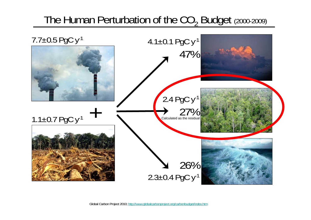### The Human Perturbation of the  $CO<sub>2</sub>$  Budget (2000-2009)

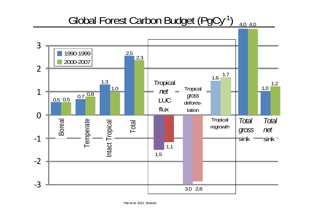#### Global Forest Carbon Budget (PgCy-1) 4.0 4.0

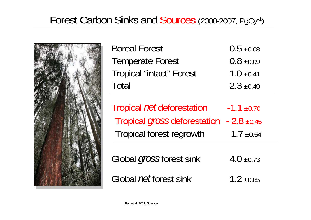# Forest Carbon Sinks and Sources (2000-2007, PgCy-1 )



| <b>Boreal Forest</b>            | $0.5 \pm 0.08$ |
|---------------------------------|----------------|
| <b>Temperate Forest</b>         | $0.8 \pm 0.09$ |
| <b>Tropical "intact" Forest</b> | $1.0 \pm 0.41$ |
| Total                           | $2.3 \pm 0.49$ |

Tropical *net* deforestation -1.1 ±0.70 Tropical *gross* deforestation - 2.8 ±0.45 Tropical forest regrowth  $1.7 \pm 0.54$ 

Global *gross* forest sink 4.0 ±0.73 Global *net* forest sink 1.2  $\pm 0.85$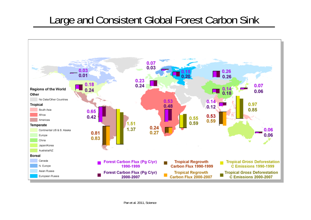### Large and Consistent Global Forest Carbon Sink

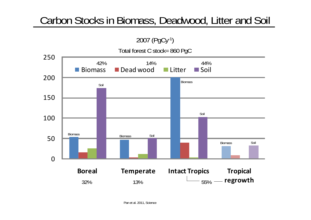# Carbon Stocks in Biomass, Deadwood, Litter and Soil